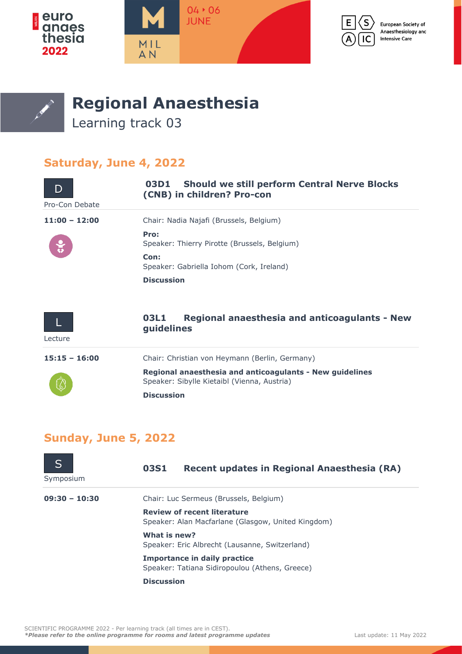







## **Regional Anaesthesia**

Learning track 03

## **Saturday, June 4, 2022**

| Pro-Con Debate  | <b>Should we still perform Central Nerve Blocks</b><br>03D1<br>(CNB) in children? Pro-con               |
|-----------------|---------------------------------------------------------------------------------------------------------|
| $11:00 - 12:00$ | Chair: Nadia Najafi (Brussels, Belgium)                                                                 |
|                 | Pro:<br>Speaker: Thierry Pirotte (Brussels, Belgium)                                                    |
|                 | Con:<br>Speaker: Gabriella Iohom (Cork, Ireland)                                                        |
|                 | <b>Discussion</b>                                                                                       |
|                 |                                                                                                         |
|                 | <b>Regional anaesthesia and anticoagulants - New</b><br>03L1<br>guidelines                              |
| Lecture         |                                                                                                         |
| $15:15 - 16:00$ | Chair: Christian von Heymann (Berlin, Germany)                                                          |
|                 | Regional anaesthesia and anticoagulants - New guidelines<br>Speaker: Sibylle Kietaibl (Vienna, Austria) |
|                 | <b>Discussion</b>                                                                                       |

## **Sunday, June 5, 2022**

| Symposium       | <b>03S1</b><br>Recent updates in Regional Anaesthesia (RA)                               |
|-----------------|------------------------------------------------------------------------------------------|
| $09:30 - 10:30$ | Chair: Luc Sermeus (Brussels, Belgium)                                                   |
|                 | <b>Review of recent literature</b><br>Speaker: Alan Macfarlane (Glasgow, United Kingdom) |
|                 | What is new?<br>Speaker: Eric Albrecht (Lausanne, Switzerland)                           |
|                 | <b>Importance in daily practice</b><br>Speaker: Tatiana Sidiropoulou (Athens, Greece)    |
|                 | <b>Discussion</b>                                                                        |